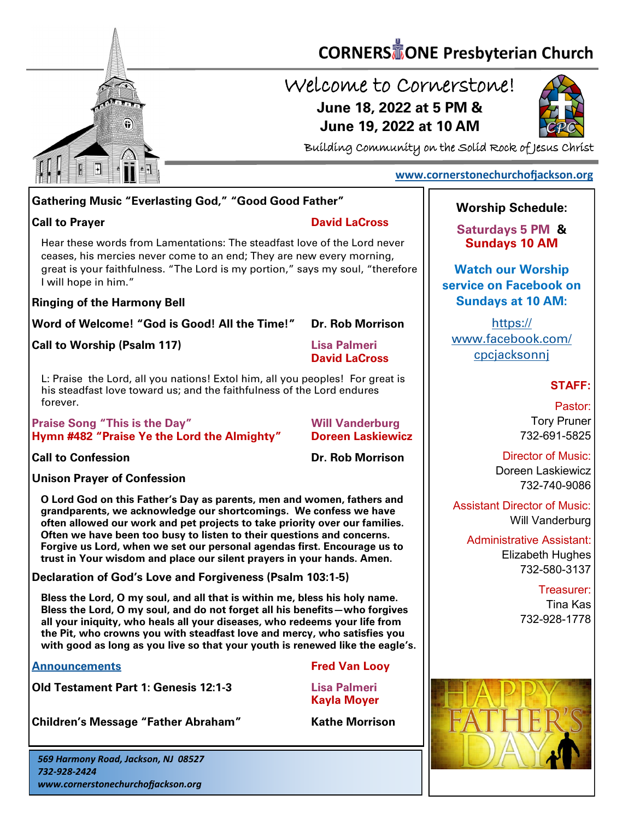

# **CORNERS** TONE Presbyterian Church

## Welcome to Cornerstone! **June 18, 2022 at 5 PM & June 19, 2022 at 10 AM**



Building Community on the Solid Rock of Jesus Christ

## **[www.cornerstonechurchofjackson.org](http://www.cornerstonechurchofjackson.org)**

### **Gathering Music "Everlasting God," "Good Good Father"**

#### **Call to Prayer David LaCross**

Hear these words from Lamentations: The steadfast love of the Lord never

 ceases, his mercies never come to an end; They are new every morning, great is your faithfulness. "The Lord is my portion," says my soul, "therefore I will hope in him."

#### **Ringing of the Harmony Bell**

**Word of Welcome! "God is Good! All the Time!" Dr. Rob Morrison**

**Call to Worship (Psalm 117) Lisa Palmeri**

**David LaCross**

L: Praise the Lord, all you nations! Extol him, all you peoples! For great is his steadfast love toward us; and the faithfulness of the Lord endures forever.

**Praise Song "This is the Day" Will Vanderburg Hymn #482 "Praise Ye the Lord the Almighty" Doreen Laskiewicz**

**Call to Confession Dr. Rob Morrison**

**Unison Prayer of Confession**

**O Lord God on this Father's Day as parents, men and women, fathers and grandparents, we acknowledge our shortcomings. We confess we have often allowed our work and pet projects to take priority over our families. Often we have been too busy to listen to their questions and concerns. Forgive us Lord, when we set our personal agendas first. Encourage us to trust in Your wisdom and place our silent prayers in your hands. Amen.**

**Declaration of God's Love and Forgiveness (Psalm 103:1-5)** 

**Bless the Lord, O my soul, and all that is within me, bless his holy name. Bless the Lord, O my soul, and do not forget all his benefits—who forgives all your iniquity, who heals all your diseases, who redeems your life from the Pit, who crowns you with steadfast love and mercy, who satisfies you with good as long as you live so that your youth is renewed like the eagle's.**

#### **[Announcements](http://cornerstonechurchofjackson.org/?page_id=2) Fred Van Looy**

**Old Testament Part 1: Genesis 12:1-3 Lisa Palmeri**

**Kayla Moyer**

**Children's Message "Father Abraham" Kathe Morrison**

*569 Harmony Road, Jackson, NJ 08527 732-928-2424 www.cornerstonechurchofjackson.org*

## **Worship Schedule:**

**Saturdays 5 PM & Sundays 10 AM**

**Watch our Worship service on Facebook on Sundays at 10 AM:**

[https://](https://www.facebook.com/cpcjacksonnj) [www.facebook.com/](https://www.facebook.com/cpcjacksonnj) [cpcjacksonnj](https://www.facebook.com/cpcjacksonnj)

#### **STAFF:**

Pastor: Tory Pruner 732-691-5825

Director of Music: Doreen Laskiewicz 732-740-9086

Assistant Director of Music: Will Vanderburg

Administrative Assistant: Elizabeth Hughes 732-580-3137

> Treasurer: Tina Kas 732-928-1778